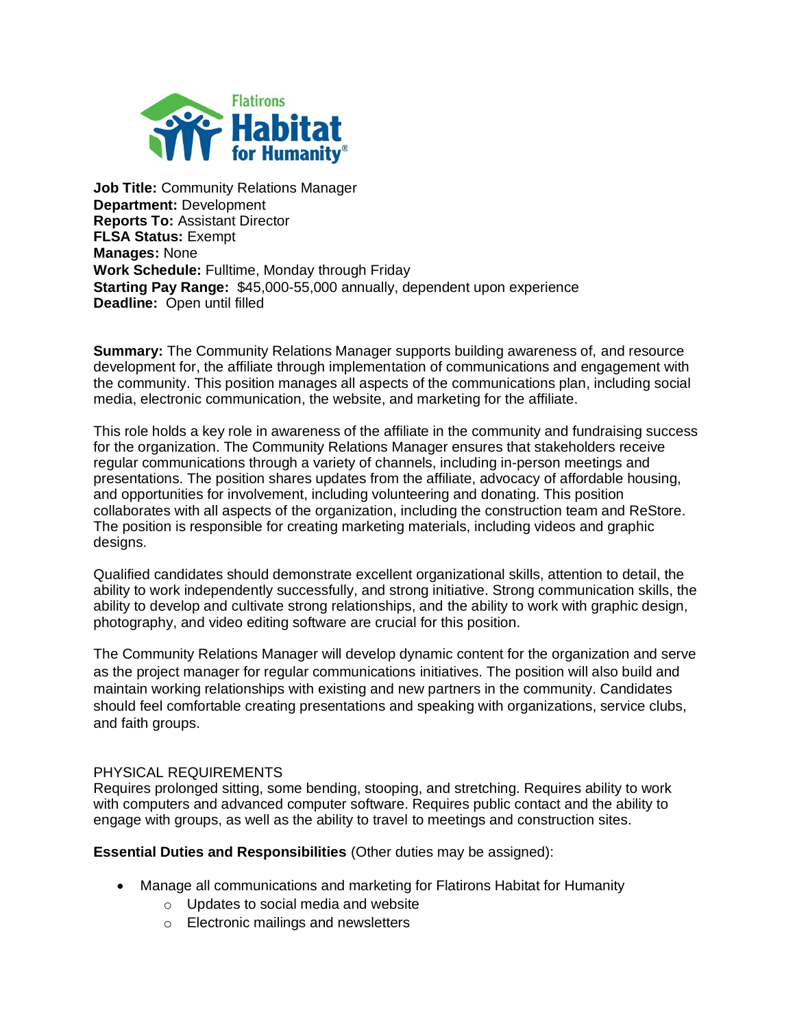

**Job Title:** Community Relations Manager **Department:** Development **Reports To:** Assistant Director **FLSA Status:** Exempt **Manages:** None **Work Schedule:** Fulltime, Monday through Friday **Starting Pay Range:** \$45,000-55,000 annually, dependent upon experience **Deadline:** Open until filled

**Summary:** The Community Relations Manager supports building awareness of, and resource development for, the affiliate through implementation of communications and engagement with the community. This position manages all aspects of the communications plan, including social media, electronic communication, the website, and marketing for the affiliate.

This role holds a key role in awareness of the affiliate in the community and fundraising success for the organization. The Community Relations Manager ensures that stakeholders receive regular communications through a variety of channels, including in-person meetings and presentations. The position shares updates from the affiliate, advocacy of affordable housing, and opportunities for involvement, including volunteering and donating. This position collaborates with all aspects of the organization, including the construction team and ReStore. The position is responsible for creating marketing materials, including videos and graphic designs.

Qualified candidates should demonstrate excellent organizational skills, attention to detail, the ability to work independently successfully, and strong initiative. Strong communication skills, the ability to develop and cultivate strong relationships, and the ability to work with graphic design, photography, and video editing software are crucial for this position.

The Community Relations Manager will develop dynamic content for the organization and serve as the project manager for regular communications initiatives. The position will also build and maintain working relationships with existing and new partners in the community. Candidates should feel comfortable creating presentations and speaking with organizations, service clubs, and faith groups.

## PHYSICAL REQUIREMENTS

Requires prolonged sitting, some bending, stooping, and stretching. Requires ability to work with computers and advanced computer software. Requires public contact and the ability to engage with groups, as well as the ability to travel to meetings and construction sites.

**Essential Duties and Responsibilities** (Other duties may be assigned):

- Manage all communications and marketing for Flatirons Habitat for Humanity
	- o Updates to social media and website
	- o Electronic mailings and newsletters